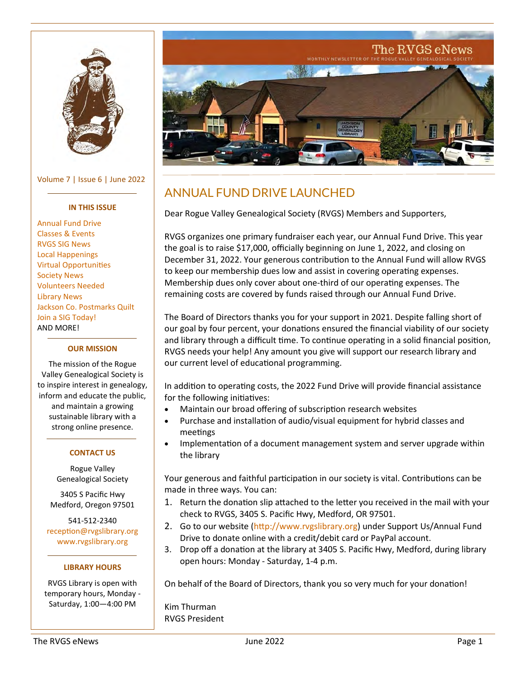<span id="page-0-0"></span>

Volume 7 | Issue 6 | June 2022

#### **IN THIS ISSUE**

[Annual Fund Drive](#page-0-0) [Classes & Events](#page-1-0) [RVGS SIG News](#page-2-0) [Local Happenings](#page-3-0) [Virtual Opportunities](#page-3-0) [Society News](#page-3-0) [Volunteers Needed](#page-4-0) [Library News](#page-4-0) [Jackson Co. Postmarks Quilt](#page-4-0) [Join a SIG Today!](#page-9-0) AND MORE!

#### **OUR MISSION**

The mission of the Rogue Valley Genealogical Society is to inspire interest in genealogy, inform and educate the public, and maintain a growing sustainable library with a strong online presence.

### **CONTACT US**

Rogue Valley Genealogical Society

3405 S Pacific Hwy Medford, Oregon 97501

541-512-2340 [reception@rvgslibrary.org](mailto:reception@rvgslibrary.org) [www.rvgslibrary.org](http://www.rvgslibrary.org)

### **LIBRARY HOURS**

RVGS Library is open with temporary hours, Monday - Saturday, 1:00—4:00 PM



# ANNUAL FUND DRIVE LAUNCHED

Dear Rogue Valley Genealogical Society (RVGS) Members and Supporters,

RVGS organizes one primary fundraiser each year, our Annual Fund Drive. This year the goal is to raise \$17,000, officially beginning on June 1, 2022, and closing on December 31, 2022. Your generous contribution to the Annual Fund will allow RVGS to keep our membership dues low and assist in covering operating expenses. Membership dues only cover about one-third of our operating expenses. The remaining costs are covered by funds raised through our Annual Fund Drive.

The Board of Directors thanks you for your support in 2021. Despite falling short of our goal by four percent, your donations ensured the financial viability of our society and library through a difficult time. To continue operating in a solid financial position, RVGS needs your help! Any amount you give will support our research library and our current level of educational programming.

In addition to operating costs, the 2022 Fund Drive will provide financial assistance for the following initiatives:

- Maintain our broad offering of subscription research websites
- Purchase and installation of audio/visual equipment for hybrid classes and meetings
- Implementation of a document management system and server upgrade within the library

Your generous and faithful participation in our society is vital. Contributions can be made in three ways. You can:

- 1. Return the donation slip attached to the letter you received in the mail with your check to RVGS, 3405 S. Pacific Hwy, Medford, OR 97501.
- 2. Go to our website [\(http://www.rvgslibrary.org\)](http://www.rvgslibrary.org) under Support Us/Annual Fund Drive to donate online with a credit/debit card or PayPal account.
- 3. Drop off a donation at the library at 3405 S. Pacific Hwy, Medford, during library open hours: Monday - Saturday, 1-4 p.m.

On behalf of the Board of Directors, thank you so very much for your donation!

Kim Thurman RVGS President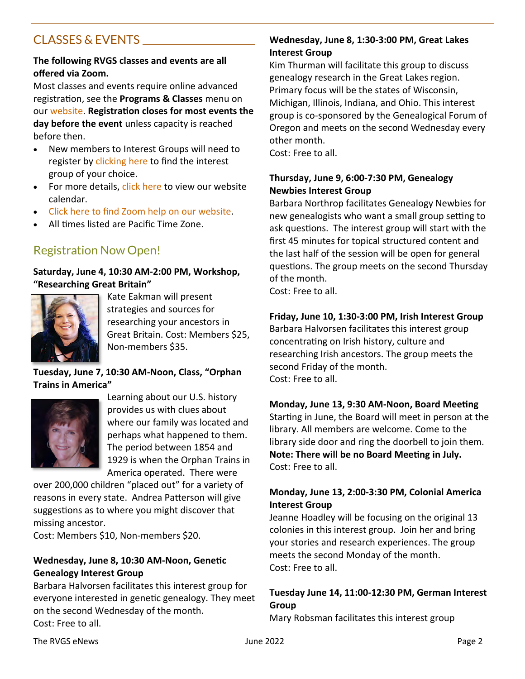# <span id="page-1-0"></span>CLASSES & EVENTS

## **The following RVGS classes and events are all offered via Zoom.**

Most classes and events require online advanced registration, see the **Programs & Classes** menu on our [website.](https://rvgslibrary.org/) **Registration closes for most events the day before the event** unless capacity is reached before then.

- New members to Interest Groups will need to register by [clicking here](https://rvgslibrary.org/Page.asp?NavID=244) to find the interest group of your choice.
- For more details, [click here](https://rvgslibrary.org/calendar.asp?view=search) to view our website calendar.
- [Click here to find Zoom help on our website.](https://rvgslibrary.org/Page.asp?NavID=217)
- All times listed are Pacific Time Zone.

# Registration Now Open!

### **Saturday, June 4, 10:30 AM-2:00 PM, Workshop, "Researching Great Britain"**



Kate Eakman will present strategies and sources for researching your ancestors in Great Britain. Cost: Members \$25, Non-members \$35.

**Tuesday, June 7, 10:30 AM-Noon, Class, "Orphan Trains in America"**



Learning about our U.S. history provides us with clues about where our family was located and perhaps what happened to them. The period between 1854 and 1929 is when the Orphan Trains in America operated. There were

over 200,000 children "placed out" for a variety of reasons in every state. Andrea Patterson will give suggestions as to where you might discover that missing ancestor.

Cost: Members \$10, Non-members \$20.

### **Wednesday, June 8, 10:30 AM-Noon, Genetic Genealogy Interest Group**

Barbara Halvorsen facilitates this interest group for everyone interested in genetic genealogy. They meet on the second Wednesday of the month. Cost: Free to all.

## **Wednesday, June 8, 1:30-3:00 PM, Great Lakes Interest Group**

Kim Thurman will facilitate this group to discuss genealogy research in the Great Lakes region. Primary focus will be the states of Wisconsin, Michigan, Illinois, Indiana, and Ohio. This interest group is co-sponsored by the Genealogical Forum of Oregon and meets on the second Wednesday every other month.

Cost: Free to all.

## **Thursday, June 9, 6:00-7:30 PM, Genealogy Newbies Interest Group**

Barbara Northrop facilitates Genealogy Newbies for new genealogists who want a small group setting to ask questions. The interest group will start with the first 45 minutes for topical structured content and the last half of the session will be open for general questions. The group meets on the second Thursday of the month.

Cost: Free to all.

## **Friday, June 10, 1:30-3:00 PM, Irish Interest Group**

Barbara Halvorsen facilitates this interest group concentrating on Irish history, culture and researching Irish ancestors. The group meets the second Friday of the month. Cost: Free to all.

## **Monday, June 13, 9:30 AM-Noon, Board Meeting**

Starting in June, the Board will meet in person at the library. All members are welcome. Come to the library side door and ring the doorbell to join them. **Note: There will be no Board Meeting in July.** Cost: Free to all.

## **Monday, June 13, 2:00-3:30 PM, Colonial America Interest Group**

Jeanne Hoadley will be focusing on the original 13 colonies in this interest group. Join her and bring your stories and research experiences. The group meets the second Monday of the month. Cost: Free to all.

## **Tuesday June 14, 11:00-12:30 PM, German Interest Group**

Mary Robsman facilitates this interest group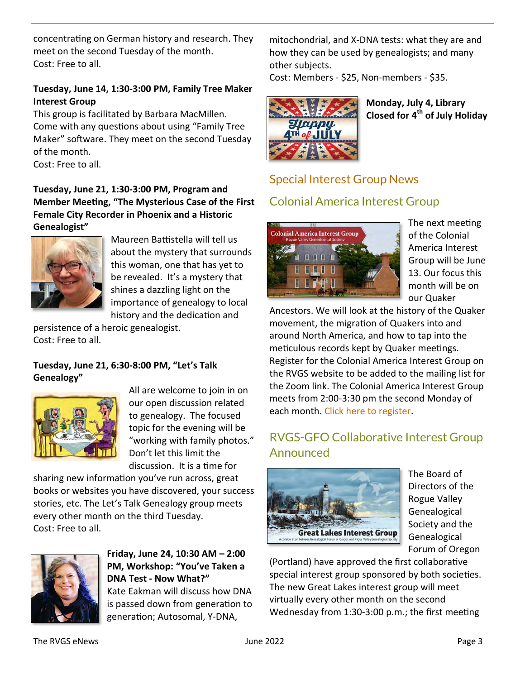<span id="page-2-0"></span>concentrating on German history and research. They meet on the second Tuesday of the month. Cost: Free to all.

## **Tuesday, June 14, 1:30-3:00 PM, Family Tree Maker Interest Group**

This group is facilitated by Barbara MacMillen. Come with any questions about using "Family Tree Maker" software. They meet on the second Tuesday of the month.

Cost: Free to all.

**Tuesday, June 21, 1:30-3:00 PM, Program and Member Meeting, "The Mysterious Case of the First Female City Recorder in Phoenix and a Historic Genealogist"**



Maureen Battistella will tell us about the mystery that surrounds this woman, one that has yet to be revealed. It's a mystery that shines a dazzling light on the importance of genealogy to local history and the dedication and

persistence of a heroic genealogist. Cost: Free to all.

## **Tuesday, June 21, 6:30-8:00 PM, "Let's Talk Genealogy"**



All are welcome to join in on our open discussion related to genealogy. The focused topic for the evening will be "working with family photos." Don't let this limit the discussion. It is a time for

sharing new information you've run across, great books or websites you have discovered, your success stories, etc. The Let's Talk Genealogy group meets every other month on the third Tuesday. Cost: Free to all.



## **Friday, June 24, 10:30 AM – 2:00 PM, Workshop: "You've Taken a DNA Test - Now What?"** Kate Eakman will discuss how DNA

is passed down from generation to generation; Autosomal, Y-DNA,

mitochondrial, and X-DNA tests: what they are and how they can be used by genealogists; and many other subjects.

Cost: Members - \$25, Non-members - \$35.



**Monday, July 4, Library Closed for 4th of July Holiday**

# Special Interest Group News Colonial America Interest Group



The next meeting of the Colonial America Interest Group will be June 13. Our focus this month will be on our Quaker

Ancestors. We will look at the history of the Quaker movement, the migration of Quakers into and around North America, and how to tap into the meticulous records kept by Quaker meetings. Register for the Colonial America Interest Group on the RVGS website to be added to the mailing list for the Zoom link. The Colonial America Interest Group meets from 2:00-3:30 pm the second Monday of each month. [Click here to register.](https://rvgslibrary.org/Page.asp?NavID=258)

# RVGS-GFO Collaborative Interest Group Announced



The Board of Directors of the Rogue Valley Genealogical Society and the Genealogical Forum of Oregon

(Portland) have approved the first collaborative special interest group sponsored by both societies. The new Great Lakes interest group will meet virtually every other month on the second Wednesday from 1:30-3:00 p.m.; the first meeting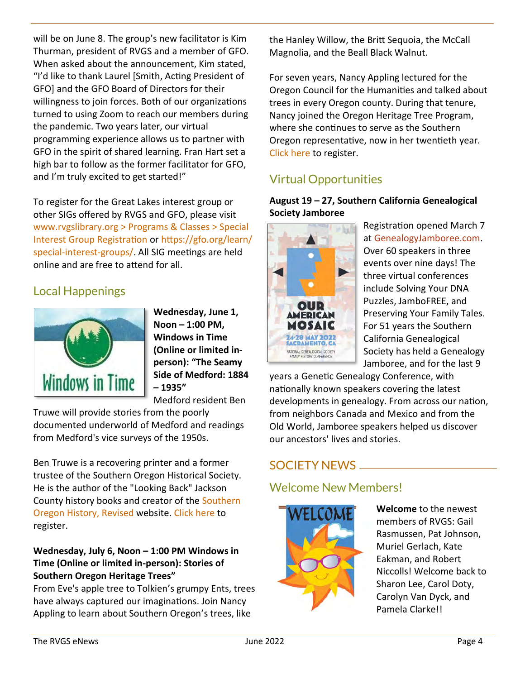<span id="page-3-0"></span>will be on June 8. The group's new facilitator is Kim Thurman, president of RVGS and a member of GFO. When asked about the announcement, Kim stated, "I'd like to thank Laurel [Smith, Acting President of GFO] and the GFO Board of Directors for their willingness to join forces. Both of our organizations turned to using Zoom to reach our members during the pandemic. Two years later, our virtual programming experience allows us to partner with GFO in the spirit of shared learning. Fran Hart set a high bar to follow as the former facilitator for GFO, and I'm truly excited to get started!"

To register for the Great Lakes interest group or other SIGs offered by RVGS and GFO, please visit [www.rvgslibrary.org > Programs & Classes > Special](about:blank)  [Interest Group Registration](about:blank) or [https://gfo.org/learn/](https://gfo.org/learn/special-interest-groups/) special-interest-[groups/.](https://gfo.org/learn/special-interest-groups/) All SIG meetings are held online and are free to attend for all.

# Local Happenings



**Wednesday, June 1, Noon – 1:00 PM, Windows in Time (Online or limited inperson): "The Seamy Side of Medford: 1884 – 1935"**

Medford resident Ben

Truwe will provide stories from the poorly documented underworld of Medford and readings from Medford's vice surveys of the 1950s.

Ben Truwe is a recovering printer and a former trustee of the Southern Oregon Historical Society. He is the author of the "Looking Back" Jackson County history books and creator of the [Southern](https://truwe.sohs.org/)  [Oregon History, Revised](https://truwe.sohs.org/) website. [Click here](https://jcls.libcal.com/event/9021689) to register.

## **Wednesday, July 6, Noon – 1:00 PM Windows in Time (Online or limited in-person): Stories of Southern Oregon Heritage Trees"**

From Eve's apple tree to Tolkien's grumpy Ents, trees have always captured our imaginations. Join Nancy Appling to learn about Southern Oregon's trees, like

the Hanley Willow, the Britt Sequoia, the McCall Magnolia, and the Beall Black Walnut.

For seven years, Nancy Appling lectured for the Oregon Council for the Humanities and talked about trees in every Oregon county. During that tenure, Nancy joined the Oregon Heritage Tree Program, where she continues to serve as the Southern Oregon representative, now in her twentieth year. [Click here](https://jcls.libcal.com/event/9022340) to register.

# Virtual Opportunities

## **August 19 – 27, Southern California Genealogical Society Jamboree**



Registration opened March 7 at [GenealogyJamboree.com.](https://genealogyjamboree.com/) Over 60 speakers in three events over nine days! The three virtual conferences include Solving Your DNA Puzzles, JamboFREE, and Preserving Your Family Tales. For 51 years the Southern California Genealogical Society has held a Genealogy Jamboree, and for the last 9

years a Genetic Genealogy Conference, with nationally known speakers covering the latest developments in genealogy. From across our nation, from neighbors Canada and Mexico and from the Old World, Jamboree speakers helped us discover our ancestors' lives and stories.

# SOCIETY NEWS

# Welcome New Members!



**Welcome** to the newest members of RVGS: Gail Rasmussen, Pat Johnson, Muriel Gerlach, Kate Eakman, and Robert Niccolls! Welcome back to Sharon Lee, Carol Doty, Carolyn Van Dyck, and Pamela Clarke!!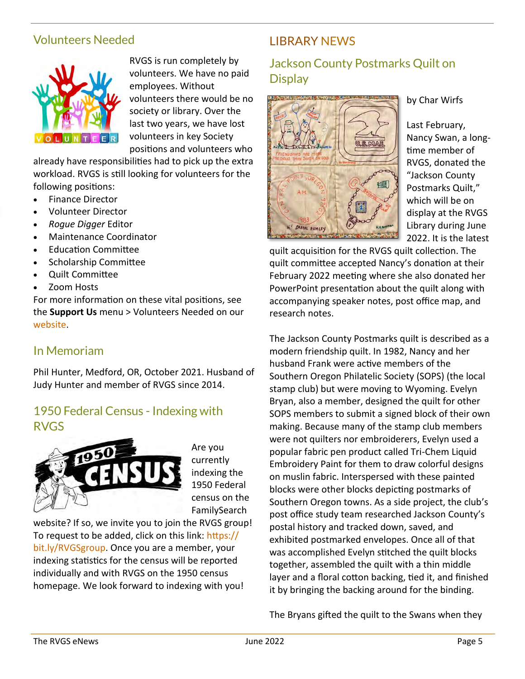## <span id="page-4-0"></span>Volunteers Needed



RVGS is run completely by volunteers. We have no paid employees. Without volunteers there would be no society or library. Over the last two years, we have lost volunteers in key Society positions and volunteers who

already have responsibilities had to pick up the extra workload. RVGS is still looking for volunteers for the following positions:

- Finance Director
- Volunteer Director
- *Rogue Digger* Editor
- Maintenance Coordinator
- Education Committee
- Scholarship Committee
- Quilt Committee
- Zoom Hosts

For more information on these vital positions, see the **Support Us** menu > Volunteers Needed on our [website.](https://www.rvgslibrary.org)

## In Memoriam

Phil Hunter, Medford, OR, October 2021. Husband of Judy Hunter and member of RVGS since 2014.

## 1950 Federal Census - Indexing with RVGS



Are you currently indexing the 1950 Federal census on the FamilySearch

website? If so, we invite you to join the RVGS group! To request to be added, click on this link: [https://](https://bit.ly/RVGSgroup) [bit.ly/RVGSgroup.](https://bit.ly/RVGSgroup) Once you are a member, your indexing statistics for the census will be reported individually and with RVGS on the 1950 census homepage. We look forward to indexing with you!

## LIBRARY NEWS

# Jackson County Postmarks Quilt on **Display**



by Char Wirfs

Last February, Nancy Swan, a longtime member of RVGS, donated the "Jackson County Postmarks Quilt," which will be on display at the RVGS Library during June 2022. It is the latest

quilt acquisition for the RVGS quilt collection. The quilt committee accepted Nancy's donation at their February 2022 meeting where she also donated her PowerPoint presentation about the quilt along with accompanying speaker notes, post office map, and research notes.

The Jackson County Postmarks quilt is described as a modern friendship quilt. In 1982, Nancy and her husband Frank were active members of the Southern Oregon Philatelic Society (SOPS) (the local stamp club) but were moving to Wyoming. Evelyn Bryan, also a member, designed the quilt for other SOPS members to submit a signed block of their own making. Because many of the stamp club members were not quilters nor embroiderers, Evelyn used a popular fabric pen product called Tri-Chem Liquid Embroidery Paint for them to draw colorful designs on muslin fabric. Interspersed with these painted blocks were other blocks depicting postmarks of Southern Oregon towns. As a side project, the club's post office study team researched Jackson County's postal history and tracked down, saved, and exhibited postmarked envelopes. Once all of that was accomplished Evelyn stitched the quilt blocks together, assembled the quilt with a thin middle layer and a floral cotton backing, tied it, and finished it by bringing the backing around for the binding.

The Bryans gifted the quilt to the Swans when they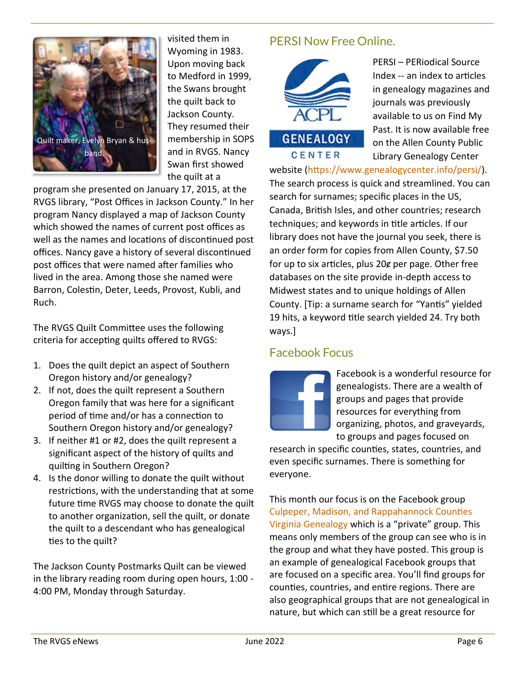

visited them in Wyoming in 1983. Upon moving back to Medford in 1999, the Swans brought the quilt back to Jackson County. They resumed their membership in SOPS and in RVGS. Nancy Swan first showed the quilt at a

program she presented on January 17, 2015, at the RVGS library, "Post Offices in Jackson County." In her program Nancy displayed a map of Jackson County which showed the names of current post offices as well as the names and locations of discontinued post offices. Nancy gave a history of several discontinued post offices that were named after families who lived in the area. Among those she named were Barron, Colestin, Deter, Leeds, Provost, Kubli, and Ruch.

The RVGS Quilt Committee uses the following criteria for accepting quilts offered to RVGS:

- 1. Does the quilt depict an aspect of Southern Oregon history and/or genealogy?
- 2. If not, does the quilt represent a Southern Oregon family that was here for a significant period of time and/or has a connection to Southern Oregon history and/or genealogy?
- 3. If neither #1 or #2, does the quilt represent a significant aspect of the history of quilts and quilting in Southern Oregon?
- 4. Is the donor willing to donate the quilt without restrictions, with the understanding that at some future time RVGS may choose to donate the quilt to another organization, sell the quilt, or donate the quilt to a descendant who has genealogical ties to the quilt?

The Jackson County Postmarks Quilt can be viewed in the library reading room during open hours, 1:00 - 4:00 PM, Monday through Saturday.

# PERSI Now Free Online.



PERSI – PERiodical Source Index -- an index to articles in genealogy magazines and journals was previously available to us on Find My Past. It is now available free on the Allen County Public Library Genealogy Center

website [\(https://www.genealogycenter.info/persi/\)](https://www.genealogycenter.info/persi/). The search process is quick and streamlined. You can search for surnames; specific places in the US, Canada, British Isles, and other countries; research techniques; and keywords in title articles. If our library does not have the journal you seek, there is an order form for copies from Allen County, \$7.50 for up to six articles, plus 20g per page. Other free databases on the site provide in-depth access to Midwest states and to unique holdings of Allen County. [Tip: a surname search for "Yantis" yielded 19 hits, a keyword title search yielded 24. Try both ways.]

## Facebook Focus



Facebook is a wonderful resource for genealogists. There are a wealth of groups and pages that provide resources for everything from organizing, photos, and graveyards, to groups and pages focused on

research in specific counties, states, countries, and even specific surnames. There is something for everyone.

This month our focus is on the Facebook group [Culpeper, Madison, and Rappahannock Counties](https://www.facebook.com/groups/786965358023065)  [Virginia Genealogy](https://www.facebook.com/groups/786965358023065) which is a "private" group. This means only members of the group can see who is in the group and what they have posted. This group is an example of genealogical Facebook groups that are focused on a specific area. You'll find groups for counties, countries, and entire regions. There are also geographical groups that are not genealogical in nature, but which can still be a great resource for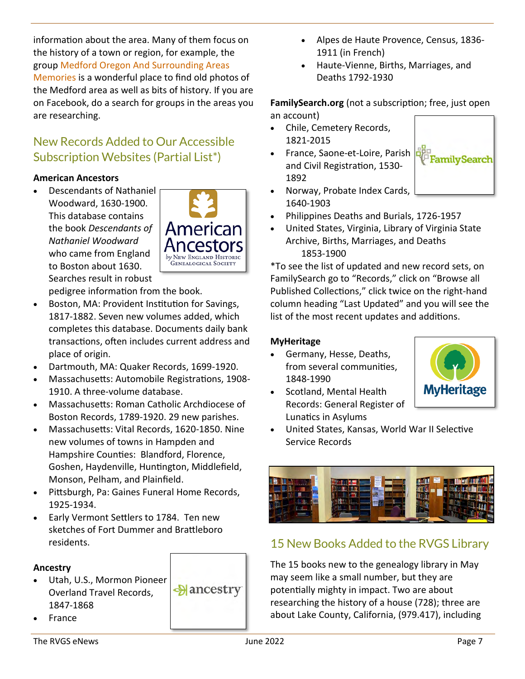information about the area. Many of them focus on the history of a town or region, for example, the group [Medford Oregon And Surrounding Areas](https://www.facebook.com/groups/229606631113859)  [Memories](https://www.facebook.com/groups/229606631113859) is a wonderful place to find old photos of the Medford area as well as bits of history. If you are on Facebook, do a search for groups in the areas you are researching.

# New Records Added to Our Accessible Subscription Websites (Partial List\*)

## **American Ancestors**

• Descendants of Nathaniel Woodward, 1630-1900. This database contains the book *Descendants of Nathaniel Woodward* who came from England to Boston about 1630. Searches result in robust



pedigree information from the book.

- Boston, MA: Provident Institution for Savings, 1817-1882. Seven new volumes added, which completes this database. Documents daily bank transactions, often includes current address and place of origin.
- Dartmouth, MA: Quaker Records, 1699-1920.
- Massachusetts: Automobile Registrations, 1908- 1910. A three-volume database.
- Massachusetts: Roman Catholic Archdiocese of Boston Records, 1789-1920. 29 new parishes.
- Massachusetts: Vital Records, 1620-1850. Nine new volumes of towns in Hampden and Hampshire Counties: Blandford, Florence, Goshen, Haydenville, Huntington, Middlefield, Monson, Pelham, and Plainfield.
- Pittsburgh, Pa: Gaines Funeral Home Records, 1925-1934.
- Early Vermont Settlers to 1784. Ten new sketches of Fort Dummer and Brattleboro residents.

## **Ancestry**

- Utah, U.S., Mormon Pioneer  $\triangle$ ancestry Overland Travel Records, 1847-1868
- France

• Haute-Vienne, Births, Marriages, and Deaths 1792-1930

## **FamilySearch.org** (not a subscription; free, just open an account)

- Chile, Cemetery Records, 1821-2015
- France, Saone-et-Loire, Parish and Civil Registration, 1530- 1892



- Norway, Probate Index Cards, 1640-1903
- Philippines Deaths and Burials, 1726-1957
- United States, Virginia, Library of Virginia State Archive, Births, Marriages, and Deaths 1853-1900

\*To see the list of updated and new record sets, on FamilySearch go to "Records," click on "Browse all Published Collections," click twice on the right-hand column heading "Last Updated" and you will see the list of the most recent updates and additions.

## **MyHeritage**

- Germany, Hesse, Deaths, from several communities, 1848-1990
- Scotland, Mental Health Records: General Register of Lunatics in Asylums



• United States, Kansas, World War II Selective Service Records



# 15 New Books Added to the RVGS Library

The 15 books new to the genealogy library in May may seem like a small number, but they are potentially mighty in impact. Two are about researching the history of a house (728); three are about Lake County, California, (979.417), including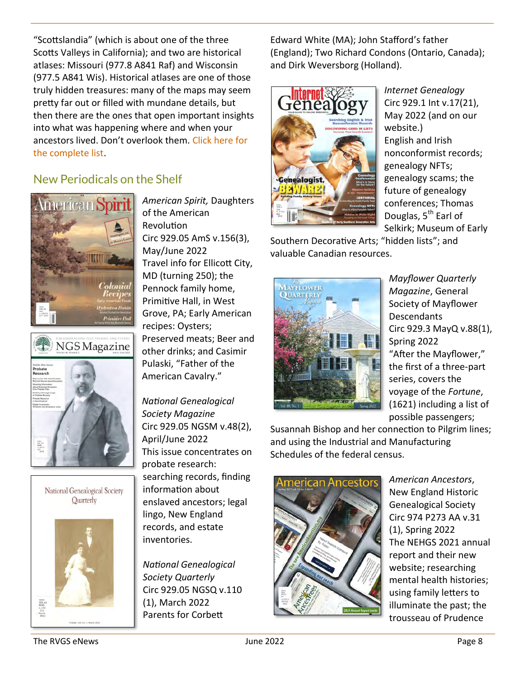"Scottslandia" (which is about one of the three Scotts Valleys in California); and two are historical atlases: Missouri (977.8 A841 Raf) and Wisconsin (977.5 A841 Wis). Historical atlases are one of those truly hidden treasures: many of the maps may seem pretty far out or filled with mundane details, but then there are the ones that open important insights into what was happening where and when your ancestors lived. Don't overlook them. [Click here for](https://rvgslibrary.org/Files/NewBooks_Jun2022.pdf)  [the complete list.](https://rvgslibrary.org/Files/NewBooks_Jun2022.pdf)

# New Periodicals on the Shelf



NGS Magazine





*American Spirit,* Daughters of the American Revolution Circ 929.05 AmS v.156(3), May/June 2022 Travel info for Ellicott City, MD (turning 250); the Pennock family home, Primitive Hall, in West Grove, PA; Early American recipes: Oysters; Preserved meats; Beer and other drinks; and Casimir Pulaski, "Father of the American Cavalry."

*National Genealogical Society Magazine* Circ 929.05 NGSM v.48(2), April/June 2022 This issue concentrates on probate research: searching records, finding information about enslaved ancestors; legal lingo, New England records, and estate inventories.

*National Genealogical Society Quarterly* Circ 929.05 NGSQ v.110 (1), March 2022 Parents for Corbett

Edward White (MA); John Stafford's father (England); Two Richard Condons (Ontario, Canada); and Dirk Weversborg (Holland).



*Internet Genealogy* Circ 929.1 Int v.17(21), May 2022 (and on our website.) English and Irish nonconformist records; genealogy NFTs; genealogy scams; the future of genealogy conferences; Thomas Douglas, 5<sup>th</sup> Earl of Selkirk; Museum of Early

Southern Decorative Arts; "hidden lists"; and valuable Canadian resources.



*Mayflower Quarterly Magazine*, General Society of Mayflower **Descendants** Circ 929.3 MayQ v.88(1), Spring 2022 "After the Mayflower," the first of a three-part series, covers the voyage of the *Fortune*, (1621) including a list of possible passengers;

Susannah Bishop and her connection to Pilgrim lines; and using the Industrial and Manufacturing Schedules of the federal census.



*American Ancestors*, New England Historic Genealogical Society Circ 974 P273 AA v.31 (1), Spring 2022 The NEHGS 2021 annual report and their new website; researching mental health histories; using family letters to illuminate the past; the trousseau of Prudence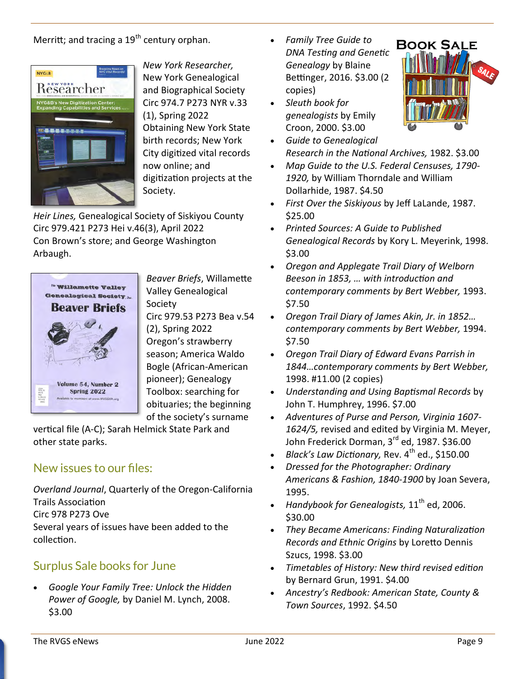Merritt; and tracing a  $19<sup>th</sup>$  century orphan.



*New York Researcher,* New York Genealogical and Biographical Society Circ 974.7 P273 NYR v.33 (1), Spring 2022 Obtaining New York State birth records; New York City digitized vital records now online; and digitization projects at the Society.

*Heir Lines,* Genealogical Society of Siskiyou County Circ 979.421 P273 Hei v.46(3), April 2022 Con Brown's store; and George Washington Arbaugh.



*Beaver Briefs*, Willamette Valley Genealogical Society

Circ 979.53 P273 Bea v.54 (2), Spring 2022 Oregon's strawberry season; America Waldo Bogle (African-American pioneer); Genealogy Toolbox: searching for obituaries; the beginning of the society's surname

vertical file (A-C); Sarah Helmick State Park and other state parks.

# New issues to our files:

*Overland Journal*, Quarterly of the Oregon-California Trails Association Circ 978 P273 Ove

Several years of issues have been added to the collection.

# Surplus Sale books for June

• *Google Your Family Tree: Unlock the Hidden Power of Google,* by Daniel M. Lynch, 2008. \$3.00

- *Family Tree Guide to DNA Testing and Genetic Genealogy* by Blaine Bettinger, 2016. \$3.00 (2 copies)
- *Sleuth book for genealogists* by Emily Croon, 2000. \$3.00



- *Map Guide to the U.S. Federal Censuses, 1790- 1920,* by William Thorndale and William Dollarhide, 1987. \$4.50
- *First Over the Siskiyous* by Jeff LaLande, 1987. \$25.00
- *Printed Sources: A Guide to Published Genealogical Records* by Kory L. Meyerink, 1998. \$3.00
- *Oregon and Applegate Trail Diary of Welborn Beeson in 1853, … with introduction and contemporary comments by Bert Webber,* 1993. \$7.50
- *Oregon Trail Diary of James Akin, Jr. in 1852… contemporary comments by Bert Webber,* 1994. \$7.50
- *Oregon Trail Diary of Edward Evans Parrish in 1844…contemporary comments by Bert Webber,*  1998. #11.00 (2 copies)
- *Understanding and Using Baptismal Records* by John T. Humphrey, 1996. \$7.00
- *Adventures of Purse and Person, Virginia 1607- 1624/5,* revised and edited by Virginia M. Meyer, John Frederick Dorman, 3rd ed, 1987. \$36.00
- *Black's Law Dictionary, Rev.* 4<sup>th</sup> ed., \$150.00
- *Dressed for the Photographer: Ordinary Americans & Fashion, 1840-1900* by Joan Severa, 1995.
- *Handybook for Genealogists*, 11<sup>th</sup> ed, 2006. \$30.00
- *They Became Americans: Finding Naturalization Records and Ethnic Origins* by Loretto Dennis Szucs, 1998. \$3.00
- *Timetables of History: New third revised edition* by Bernard Grun, 1991. \$4.00
- *Ancestry's Redbook: American State, County & Town Sources*, 1992. \$4.50